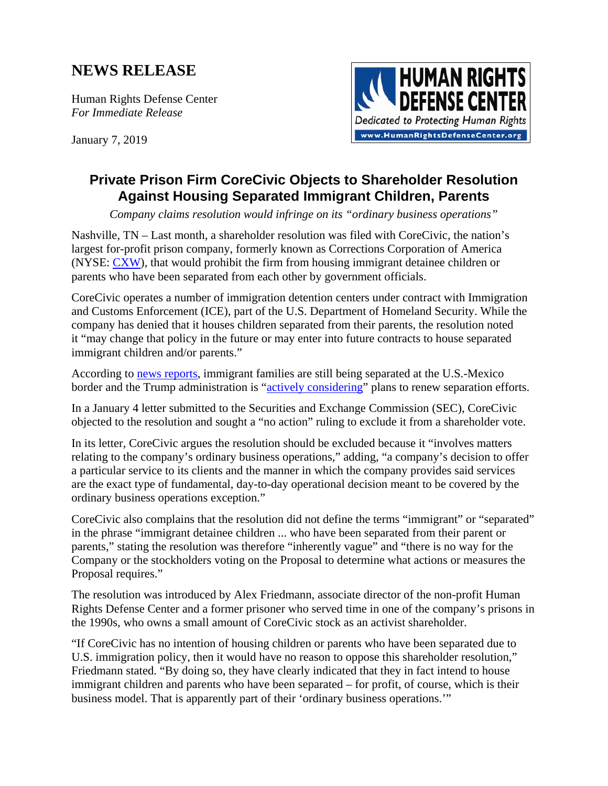## **NEWS RELEASE**

Human Rights Defense Center *For Immediate Release* 

January 7, 2019



## **Private Prison Firm CoreCivic Objects to Shareholder Resolution Against Housing Separated Immigrant Children, Parents**

*Company claims resolution would infringe on its "ordinary business operations"* 

Nashville, TN – Last month, a shareholder resolution was filed with CoreCivic, the nation's largest for-profit prison company, formerly known as Corrections Corporation of America (NYSE: [CXW\)](https://finance.yahoo.com/quote/CXW/), that would prohibit the firm from housing immigrant detainee children or parents who have been separated from each other by government officials.

CoreCivic operates a number of immigration detention centers under contract with Immigration and Customs Enforcement (ICE), part of the U.S. Department of Homeland Security. While the company has denied that it houses children separated from their parents, the resolution noted it "may change that policy in the future or may enter into future contracts to house separated immigrant children and/or parents."

According to [news reports,](https://www.usatoday.com/story/news/politics/elections/2018/11/27/donald-trump-zero-tolerance-policy-border-migrants-families-separated-immigration/2132426002/) immigrant families are still being separated at the U.S.-Mexico border and the Trump administration is "[actively considering"](https://www.washingtonpost.com/local/immigration/trump-administration-weighs-new-family-separation-effort-at-border/2018/10/12/45895cce-cd7b-11e8-920f-dd52e1ae4570_story.html?utm_term=.751f093f5032) plans to renew separation efforts.

In a January 4 letter submitted to the Securities and Exchange Commission (SEC), CoreCivic objected to the resolution and sought a "no action" ruling to exclude it from a shareholder vote.

In its letter, CoreCivic argues the resolution should be excluded because it "involves matters relating to the company's ordinary business operations," adding, "a company's decision to offer a particular service to its clients and the manner in which the company provides said services are the exact type of fundamental, day-to-day operational decision meant to be covered by the ordinary business operations exception."

CoreCivic also complains that the resolution did not define the terms "immigrant" or "separated" in the phrase "immigrant detainee children ... who have been separated from their parent or parents," stating the resolution was therefore "inherently vague" and "there is no way for the Company or the stockholders voting on the Proposal to determine what actions or measures the Proposal requires."

The resolution was introduced by Alex Friedmann, associate director of the non-profit Human Rights Defense Center and a former prisoner who served time in one of the company's prisons in the 1990s, who owns a small amount of CoreCivic stock as an activist shareholder.

"If CoreCivic has no intention of housing children or parents who have been separated due to U.S. immigration policy, then it would have no reason to oppose this shareholder resolution," Friedmann stated. "By doing so, they have clearly indicated that they in fact intend to house immigrant children and parents who have been separated – for profit, of course, which is their business model. That is apparently part of their 'ordinary business operations.'"